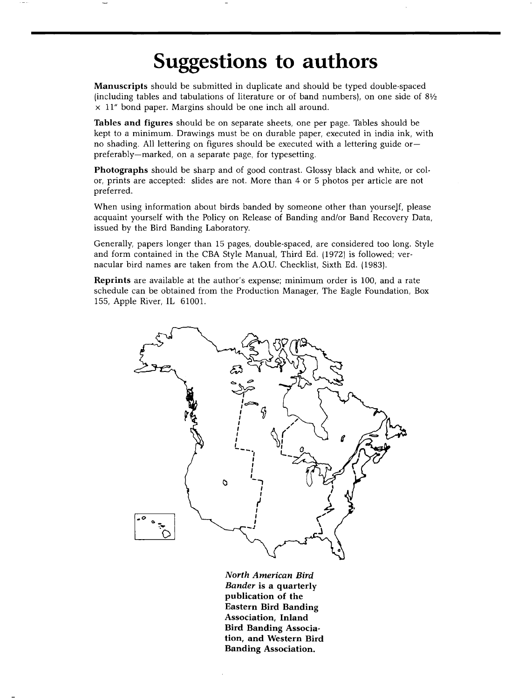## **Suggestions to authors**

**Manuscripts should be submitted in duplicate and should be typed double-spaced (including tables and tabulations of literature or of band numbers}, on one side of 81/2 x 11" bond paper. Margins should be one inch all around.** 

**Tables and figures should be on separate sheets, one per page. Tables should be kept to a minimum. Drawings must be on durable paper, executed in india ink, with no shading. All lettering on figures should be executed with a lettering guide or- preferably--marked, on a separate page, for typesetting.** 

**Photographs should be sharp and of good contrast. Glossy black and white, or color, prints are accepted: slides are not. More than 4 or 5 photos per article are not preferred.** 

When using information about birds banded by someone other than yourself, please **acquaint yourself with the Policy on Release of Banding and/or Band Recovery Data, issued by the Bird Banding Laboratory.** 

**Generally, papers longer than 15 pages, double-spaced, are considered too long. Style and form contained in the CBA Style Manual, Third Ed. (1972} is followed; vernacular bird names are taken from the A.O.U. Checklist, Sixth Ed. (1983}.** 

**Reprints are available at the author's expense; minimum order is 100, and a rate schedule can be obtained from the Production Manager, The Eagle Foundation, Box 155, Apple River, IL 61001.** 



**North American Bird Bander is a quarterly publication of the Eastern Bird Banding Association, Inland Bird Banding Association, and Western Bird Banding Association.**